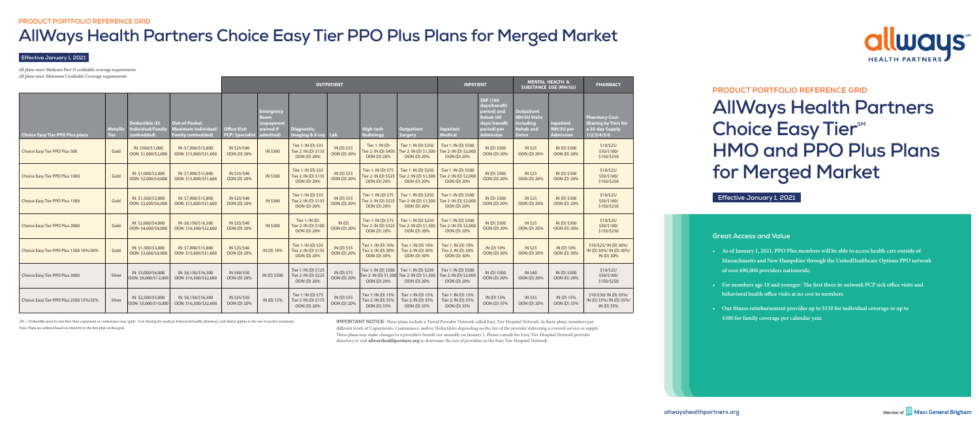(D) = Deductible must be met first, then copayment or coinsurance may apply. Cost sharing for medical, behavioral health, pharmacy, and dental applies to the out-of-pocket maximum.

Note: Plans are ordered based on relativity to the first plan on this grid.

# **PRODUCT PORTFOLIO REFERENCE GRID**

# **AllWays Health Partners Choice Easy Tier**<sup>SM</sup> **HMO and PPO Plus Plans for Merged Market**





*All plans meet Medicare Part D creditable coverage requirements. All plans meet Minimum Creditable Coverage requirements.*

#### **Effective January 1, 2021**

# **AllWays Health Partners Choice Easy Tier PPO Plus Plans for Merged Market**

**IMPORTANT NOTICE:** These plans include a Tiered Provider Network called Easy Tier Hospital Network. In these plans, members pay different levels of Copayments, Coinsurance, and/or Deductibles depending on the tier of the provider delivering a covered service or supply. These plans may make changes to a provider's benefit tier annually on January 1. Please consult the Easy Tier Hospital Network provider directory or visit **allwayshealthpartners.org** to determine the tier of providers in the Easy Tier Hospital Network.



**Effective January 1, 2021**

|                                        |                         |                                                          |                                                                                |                                            |                                                                   |                                                             | <b>OUTPATIENT</b>          |                                                               | <b>INPATIENT</b>                                              |                                                               | <b>MENTAL HEALTH &amp;</b><br><b>SUBSTANCE USE (MH/SU)</b>                                                      |                                                                                                  | <b>PHARMACY</b>                                          |                                                                                        |
|----------------------------------------|-------------------------|----------------------------------------------------------|--------------------------------------------------------------------------------|--------------------------------------------|-------------------------------------------------------------------|-------------------------------------------------------------|----------------------------|---------------------------------------------------------------|---------------------------------------------------------------|---------------------------------------------------------------|-----------------------------------------------------------------------------------------------------------------|--------------------------------------------------------------------------------------------------|----------------------------------------------------------|----------------------------------------------------------------------------------------|
| <b>Choice Easy Tier PPO Plus plans</b> | Metallic<br><b>Tier</b> | Deductible (D)<br><b>Individual/Family</b><br>(embedded) | <b>Out-of-Pocket</b><br><b>Maximum Individual/</b><br><b>Family (embedded)</b> | <b>Office Visit</b><br><b>PCP/Speciali</b> | <u> Emergency</u><br>Room<br>(copayment<br>waived if<br>admitted) | Diagnostic,<br>Imaging & X-ray Lab                          |                            | <b>High-tech</b><br><b>Radiology</b>                          | <b>Outpatient</b><br><b>Surgery</b>                           | <b>Inpatient</b><br><b>Medical</b>                            | <b>SNF (100)</b><br>days/benefit<br>period) and<br>Rehab (60<br>days/benefit<br>period) per<br><b>Admission</b> | <b>Outpatient</b><br><b>MH/SU Visits</b><br><b>Including</b><br><b>Rehab</b> and<br><b>Detox</b> | <b>Inpatient</b><br><b>MH/SU</b> per<br><b>Admission</b> | <b>Pharmacy Cost-</b><br><b>Sharing by Tiers for</b><br>a 30-day Supply<br>1/2/3/4/5/6 |
| Choice Easy Tier PPO Plus 500          | Gold                    | IN: \$500/\$1,000<br>OON: \$1,000/\$2,000                | IN: \$7,900/\$15,800<br>OON: \$15,800/\$31,600                                 | IN \$25/\$40<br>OON (D) 20%                | IN \$300                                                          | Tier 1: IN (D) \$35<br>Tier 2: IN (D) \$135<br>OON (D) 20%  | IN (D) \$35<br>OON (D) 20% | Tier 1: IN (D)<br>Tier 2: IN (D) \$450<br>OON (D) 20%         | Tier 1: IN (D) \$250<br>Tier 2: IN (D) \$1,500<br>OON (D) 20% | Tier 1: IN (D) \$500<br>Tier 2: IN (D) \$2,000<br>OON (D) 20% | IN (D) \$500<br>OON (D) 20%                                                                                     | <b>IN \$25</b><br>OON (D) 20%                                                                    | IN (D) \$500<br>OON (D) 20%                              | \$10/\$25/<br>\$50/\$100/<br>\$150/\$250                                               |
| Choice Easy Tier PPO Plus 1000         | Gold                    | IN: \$1,000/\$2,000<br>OON: \$2,000/\$4,000              | IN: \$7,900/\$15,800<br>OON: \$15,800/\$31,600                                 | IN \$25/\$40<br><b>OON (D) 20%</b>         | IN \$300                                                          | Tier 1: IN (D) \$35<br>Tier 2: IN (D) \$135<br>OON (D) 20%  | IN (D) \$35<br>OON (D) 20% | Tier 1: IN (D) \$75<br>Tier 2: IN (D) \$525<br>OON (D) 20%    | Tier 1: IN (D) \$250<br>Tier 2: IN (D) \$1,500<br>OON (D) 20% | Tier 1: IN (D) \$500<br>Tier 2: IN (D) \$2,000<br>OON (D) 20% | IN (D) \$500<br>OON (D) 20%                                                                                     | <b>IN \$25</b><br>OON (D) 20%                                                                    | IN (D) \$500<br>OON (D) 20%                              | $$10/\$25/$<br>\$50/\$100/<br>\$150/\$250                                              |
| Choice Easy Tier PPO Plus 1500         | Gold                    | IN: \$1,500/\$3,000<br>OON: \$3,000/\$6,000              | IN: \$7,900/\$15,800<br>OON: \$15,800/\$31,600                                 | IN \$25/\$40<br><b>OON (D) 20%</b>         | IN \$300                                                          | Tier 1: IN (D) \$35<br>Tier 2: IN (D) \$135<br>OON (D) 20%  | IN (D) \$35<br>OON (D) 20% | Tier 1: IN (D) \$75<br>Tier 2: IN (D) \$525<br>OON (D) 20%    | Tier 1: IN (D) \$250<br>Tier 2: IN (D) \$1,500<br>OON (D) 20% | Tier 1: IN (D) \$500<br>Tier 2: IN (D) \$2,000<br>OON (D) 20% | IN (D) \$500<br>OON (D) 20%                                                                                     | <b>IN \$25</b><br>OON (D) 20%                                                                    | IN (D) \$500<br>OON (D) 20%                              | $$10/\$25/$<br>\$50/\$100/<br>\$150/\$250                                              |
| Choice Easy Tier PPO Plus 2000         | Gold                    | IN: \$2,000/\$4,000<br>OON: \$4,000/\$8,000              | IN: \$8,150/\$16,300<br>OON: \$16,300/\$32,600                                 | IN \$25/\$40<br><b>OON (D) 20%</b>         | IN \$300                                                          | Tier $1:IN(D)$<br>Tier 2: IN (D) \$100<br>OON (D) 20%       | IN(D)<br>OON (D) 20%       | Tier 1: IN (D) \$75<br>Tier 2: IN (D) \$525<br>OON (D) 20%    | Tier 1: IN (D) \$250<br>Tier 2: IN (D) \$1,500<br>OON (D) 20% | Tier 1: IN (D) \$500<br>Tier 2: IN (D) \$2,000<br>OON (D) 20% | IN (D) \$500<br>OON (D) 20%                                                                                     | <b>IN \$25</b><br>OON (D) 20%                                                                    | IN (D) \$500<br>OON (D) 20%                              | \$10/\$25/<br>\$50/\$100/<br>\$150/\$250                                               |
| Choice Easy Tier PPO Plus 1500 10%/30% | Gold                    | IN: \$1,500/\$3,000<br>OON: \$3,000/\$6,000              | IN: \$7,900/\$15,800<br>OON: \$15,800/\$31,600                                 | IN \$25/\$40<br><b>OON (D) 20%</b>         | IN (D) 10%                                                        | Tier 1: IN (D) \$35<br>Tier 2: IN (D) \$135<br>OON (D) 20%  | IN (D) \$35<br>OON (D) 20% | Tier 1: IN (D) 10%<br>Tier 2: IN (D) 30%<br>OON (D) 30%       | Tier 1: IN (D) 10%<br>Tier 2: IN (D) 30%<br>OON (D) 30%       | Tier 1: IN (D) 10%<br>Tier 2: IN (D) 30%<br>OON (D) 30%       | IN (D) 10%<br>OON (D) 30%                                                                                       | <b>IN \$25</b><br>OON (D) 20%                                                                    | IN (D) 10%<br>OON (D) 30%                                | \$10/\$25/IN (D) 30%/<br>IN (D) 30%/ IN (D) 30%/<br>IN (D) 30%                         |
| Choice Easy Tier PPO Plus 3000         | Silver                  | IN: \$3,000/\$6,000<br>OON: \$6,000/\$12,000             | IN: \$8,150/\$16,300<br>OON: \$16,300/\$32,600                                 | IN \$40/\$50<br>OON (D) 20%                | IN (D) \$500                                                      | Tier 1: IN (D) \$125<br>Tier 2: IN (D) \$225<br>OON (D) 20% | IN (D) \$75<br>OON (D) 20% | Tier 1: IN (D) \$500<br>Tier 2: IN (D) \$1,500<br>OON (D) 20% | Tier 1: IN (D) \$250<br>Tier 2: IN (D) \$1,500<br>OON (D) 20% | Tier 1: IN (D) \$500<br>Tier 2: IN (D) \$2,000<br>OON (D) 20% | IN (D) \$500<br>OON (D) 20%                                                                                     | <b>IN \$40</b><br>OON (D) 20%                                                                    | IN (D) \$500<br>OON (D) 20%                              | \$10/\$25/<br>\$50/\$100/<br>\$150/\$250                                               |
| Choice Easy Tier PPO Plus 2500 15%/35% | Silver                  | IN: \$2,500/\$5,000<br>OON: \$5,000/\$10,000             | IN: \$8,150/\$16,300<br>OON: \$16,300/\$32,600                                 | IN \$35/\$50<br>OON (D) 20%                | IN (D) 15%                                                        | Tier 1: IN (D) \$75<br>Tier 2: IN (D) \$175<br>OON (D) 20%  | IN (D) \$55<br>OON (D) 20% | Tier 1: IN (D) 15%<br>Tier 2: IN (D) 35%<br>OON (D) 35%       | Tier 1: IN (D) 15%<br>Tier 2: IN (D) 35%<br>OON (D) 35%       | Tier 1: IN (D) 15%<br>Tier 2: IN (D) 35%<br>OON (D) 35%       | IN (D) 15%<br>OON (D) 35%                                                                                       | <b>IN \$35</b><br>OON (D) 20%                                                                    | IN (D) 15%<br>OON (D) 35%                                | \$10/\$30/ IN (D) 35%/<br>IN (D) 35%/ IN (D) 35%/<br>IN (D) 35%                        |

# **Great Access and Value**

- **• As of January 1, 2021, PPO Plus members will be able to access health care outside of Massachusetts and New Hampshire through the UnitedHealthcare Options PPO network of over 690,000 providers nationwide.**
- **• For members age 18 and younger: The first three in-network PCP sick office visits and behavioral health office visits at no cost to members**
- **• Our fitness reimbursement provides up to \$150 for individual coverage or up to \$300 for family coverage per calendar year.**